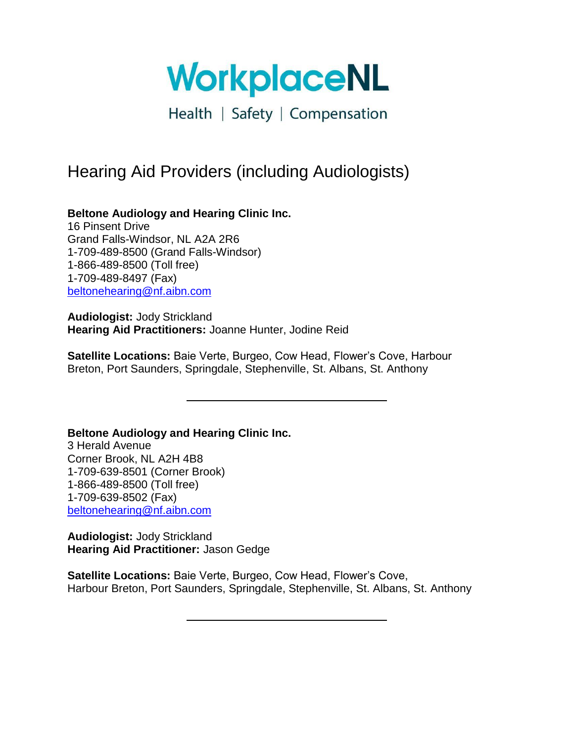WorkplaceNL

# Hearing Aid Providers (including Audiologists)

**Beltone Audiology and Hearing Clinic Inc.** 16 Pinsent Drive Grand Falls-Windsor, NL A2A 2R6 1-709-489-8500 (Grand Falls-Windsor) 1-866-489-8500 (Toll free) 1-709-489-8497 (Fax) [beltonehearing@nf.aibn.com](mailto:beltonehearing@nf.aibn.com)

**Audiologist:** Jody Strickland **Hearing Aid Practitioners:** Joanne Hunter, Jodine Reid

**Satellite Locations:** Baie Verte, Burgeo, Cow Head, Flower's Cove, Harbour Breton, Port Saunders, Springdale, Stephenville, St. Albans, St. Anthony

**Beltone Audiology and Hearing Clinic Inc.** 3 Herald Avenue Corner Brook, NL A2H 4B8 1-709-639-8501 (Corner Brook) 1-866-489-8500 (Toll free) 1-709-639-8502 (Fax) [beltonehearing@nf.aibn.com](mailto:beltonehearing@nf.aibn.com)

**Audiologist:** Jody Strickland **Hearing Aid Practitioner:** Jason Gedge

**Satellite Locations:** Baie Verte, Burgeo, Cow Head, Flower's Cove, Harbour Breton, Port Saunders, Springdale, Stephenville, St. Albans, St. Anthony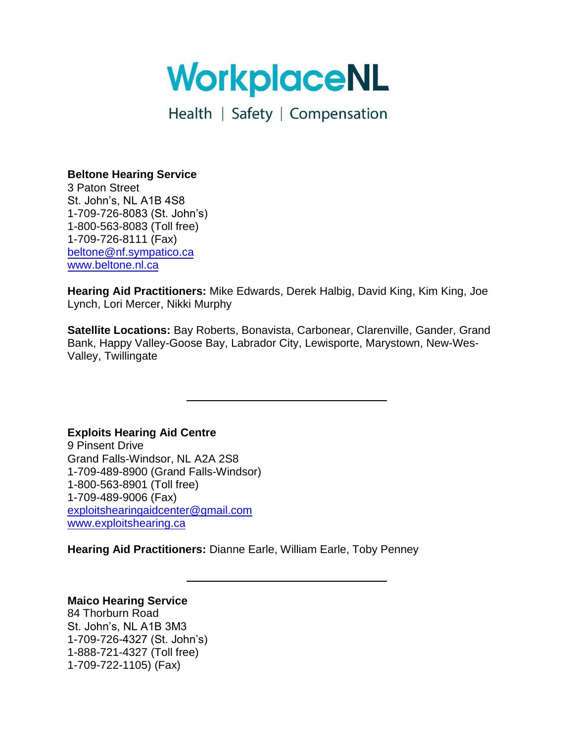WorkplaceNL

## **Beltone Hearing Service**

3 Paton Street St. John's, NL A1B 4S8 1-709-726-8083 (St. John's) 1-800-563-8083 (Toll free) 1-709-726-8111 (Fax) [beltone@nf.sympatico.ca](mailto:beltone@nf.sympatico.ca) [www.beltone.nl.ca](http://www.beltone.nl.ca/)

**Hearing Aid Practitioners:** Mike Edwards, Derek Halbig, David King, Kim King, Joe Lynch, Lori Mercer, Nikki Murphy

**Satellite Locations:** Bay Roberts, Bonavista, Carbonear, Clarenville, Gander, Grand Bank, Happy Valley-Goose Bay, Labrador City, Lewisporte, Marystown, New-Wes-Valley, Twillingate

**Exploits Hearing Aid Centre** 

9 Pinsent Drive Grand Falls-Windsor, NL A2A 2S8 1-709-489-8900 (Grand Falls-Windsor) 1-800-563-8901 (Toll free) 1-709-489-9006 (Fax) [exploitshearingaidcenter@gmail.com](mailto:exploitshearingaidcenter@gmail.com) [www.exploitshearing.ca](http://www.exploitshearing.ca/)

**Hearing Aid Practitioners:** Dianne Earle, William Earle, Toby Penney

## **Maico Hearing Service**

84 Thorburn Road St. John's, NL A1B 3M3 1-709-726-4327 (St. John's) 1-888-721-4327 (Toll free) 1-709-722-1105) (Fax)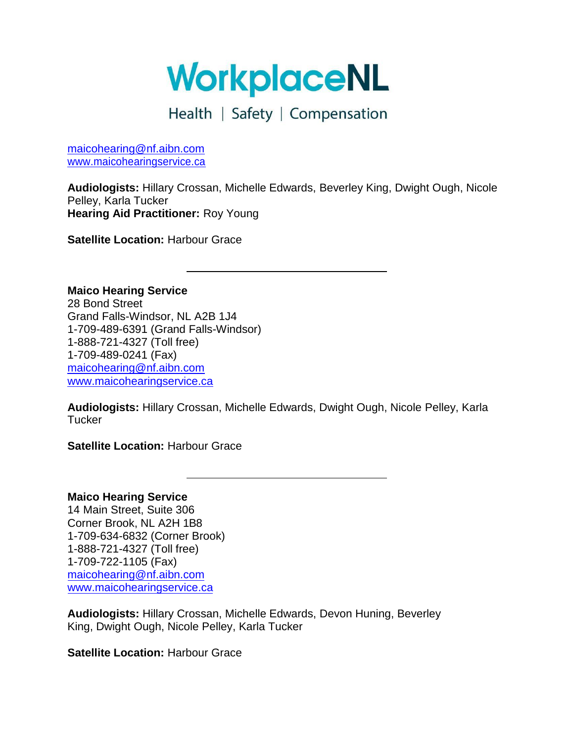# WorkplaceNL

# Health | Safety | Compensation

[maicohearing@nf.aibn.com](mailto:maicohearing@nf.aibn.com) [www.maicohearingservice.ca](http://www.maicohearingservice.ca/)

**Audiologists:** Hillary Crossan, Michelle Edwards, Beverley King, Dwight Ough, Nicole Pelley, Karla Tucker **Hearing Aid Practitioner:** Roy Young

**Satellite Location: Harbour Grace** 

**Maico Hearing Service**  28 Bond Street Grand Falls-Windsor, NL A2B 1J4 1-709-489-6391 (Grand Falls-Windsor) 1-888-721-4327 (Toll free) 1-709-489-0241 (Fax) [maicohearing@nf.aibn.com](mailto:maicohearing@nf.aibn.com) [www.maicohearingservice.ca](http://www.maicohearingservice.ca/)

**Audiologists:** Hillary Crossan, Michelle Edwards, Dwight Ough, Nicole Pelley, Karla **Tucker** 

**Satellite Location: Harbour Grace** 

**Maico Hearing Service**  14 Main Street, Suite 306 Corner Brook, NL A2H 1B8 1-709-634-6832 (Corner Brook) 1-888-721-4327 (Toll free) 1-709-722-1105 (Fax) [maicohearing@nf.aibn.com](mailto:maicohearing@nf.aibn.com) [www.maicohearingservice.ca](http://www.maicohearingservice.ca/)

**Audiologists:** Hillary Crossan, Michelle Edwards, Devon Huning, Beverley King, Dwight Ough, Nicole Pelley, Karla Tucker

**Satellite Location: Harbour Grace**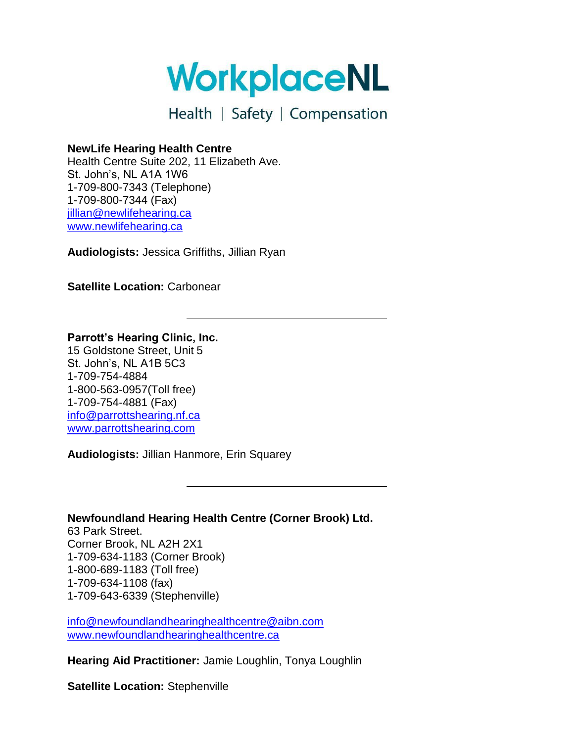WorkplaceNL

#### **NewLife Hearing Health Centre**

Health Centre Suite 202, 11 Elizabeth Ave. St. John's, NL A1A 1W6 1-709-800-7343 (Telephone) 1-709-800-7344 (Fax) [jillian@newlifehearing.ca](mailto:jillian@newlifehearing.ca) [www.newlifehearing.ca](http://www.newlifehearing.ca/)

**Audiologists:** Jessica Griffiths, Jillian Ryan

**Satellite Location:** Carbonear

#### **Parrott's Hearing Clinic, Inc.**

15 Goldstone Street, Unit 5 St. John's, NL A1B 5C3 1-709-754-4884 1-800-563-0957(Toll free) 1-709-754-4881 (Fax) [info@parrottshearing.nf.ca](mailto:info@parrottshearing.nf.ca) [www.parrottshearing.com](http://www.parrottshearing.nf.ca/)

**Audiologists:** Jillian Hanmore, Erin Squarey

## **Newfoundland Hearing Health Centre (Corner Brook) Ltd.**

63 Park Street. Corner Brook, NL A2H 2X1 1-709-634-1183 (Corner Brook) 1-800-689-1183 (Toll free) 1-709-634-1108 (fax) 1-709-643-6339 (Stephenville)

[info@newfoundlandhearinghealthcentre@aibn.com](mailto:info@newfoundladnhearinghealthcentre@aibn.com) [www.newfoundlandhearinghealthcentre.ca](http://www.newfoundlandhearinghealthcentre.ca/)

**Hearing Aid Practitioner:** Jamie Loughlin, Tonya Loughlin

**Satellite Location:** Stephenville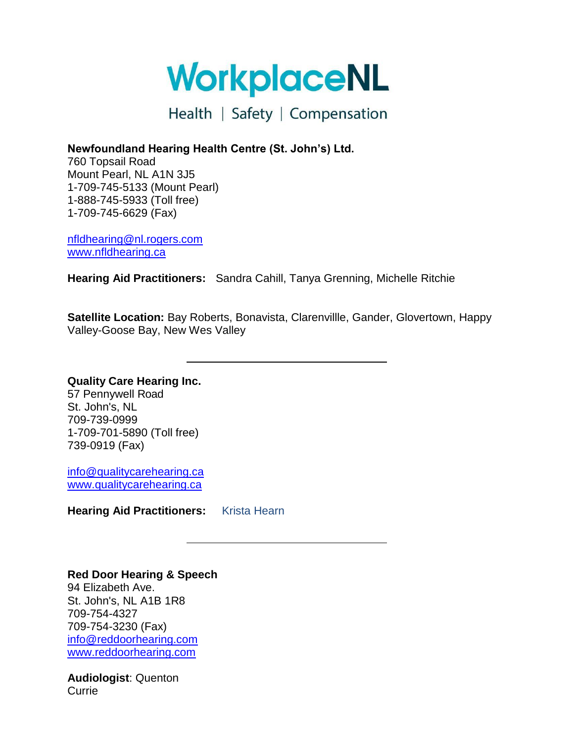WorkplaceNL

**Newfoundland Hearing Health Centre (St. John's) Ltd.**

760 Topsail Road Mount Pearl, NL A1N 3J5 1-709-745-5133 (Mount Pearl) 1-888-745-5933 (Toll free) 1-709-745-6629 (Fax)

[nfldhearing@nl.rogers.com](mailto:nfldhearing@nl.rogers.com) [www.nfldhearing.ca](http://www.nfldhearing.ca/)

**Hearing Aid Practitioners:** Sandra Cahill, Tanya Grenning, Michelle Ritchie

**Satellite Location:** Bay Roberts, Bonavista, Clarenvillle, Gander, Glovertown, Happy Valley-Goose Bay, New Wes Valley

**Quality Care Hearing Inc.** 57 Pennywell Road St. John's, NL 709-739-0999 1-709-701-5890 (Toll free) 739-0919 (Fax)

[info@qualitycarehearing.ca](mailto:info@qualitycarehearing.ca) [www.qualitycarehearing.ca](http://www.qualitycarehearing.ca/)

**Hearing Aid Practitioners:** Krista Hearn

## **Red Door Hearing & Speech**

94 Elizabeth Ave. St. John's, NL A1B 1R8 709-754-4327 709-754-3230 (Fax) [info@reddoorhearing.com](mailto:info@reddoorhearing.com) [www.reddoorhearing.com](http://www.reddoorhearing.com/)

**Audiologist**: Quenton **Currie**